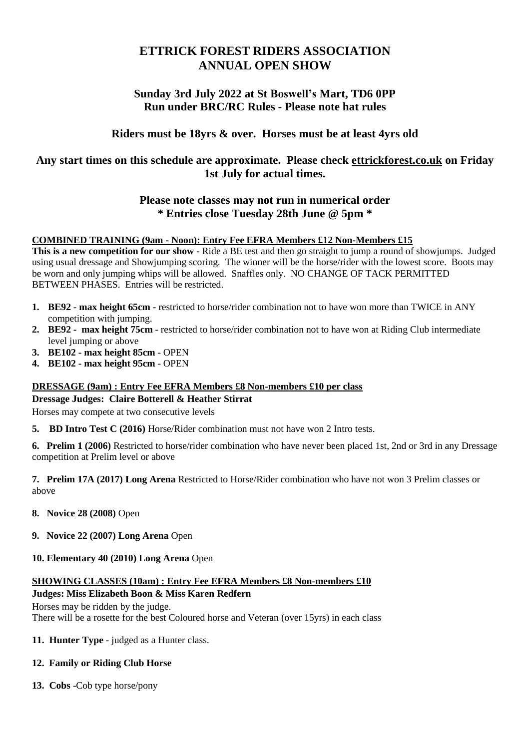# **ETTRICK FOREST RIDERS ASSOCIATION ANNUAL OPEN SHOW**

## **Sunday 3rd July 2022 at St Boswell's Mart, TD6 0PP Run under BRC/RC Rules - Please note hat rules**

## **Riders must be 18yrs & over. Horses must be at least 4yrs old**

## **Any start times on this schedule are approximate. Please check [ettrickforest.co.uk](http://ettrickforest.co.uk/) on Friday 1st July for actual times.**

## **Please note classes may not run in numerical order \* Entries close Tuesday 28th June @ 5pm \***

## **COMBINED TRAINING (9am - Noon): Entry Fee EFRA Members £12 Non-Members £15**

**This is a new competition for our show -** Ride a BE test and then go straight to jump a round of showjumps. Judged using usual dressage and Showjumping scoring. The winner will be the horse/rider with the lowest score. Boots may be worn and only jumping whips will be allowed. Snaffles only. NO CHANGE OF TACK PERMITTED BETWEEN PHASES. Entries will be restricted.

- **1. BE92 - max height 65cm -** restricted to horse/rider combination not to have won more than TWICE in ANY competition with jumping.
- **2. BE92 max height 75cm** restricted to horse/rider combination not to have won at Riding Club intermediate level jumping or above
- **3. BE102 - max height 85cm** OPEN
- **4. BE102 - max height 95cm** OPEN

## **DRESSAGE (9am) : Entry Fee EFRA Members £8 Non-members £10 per class**

#### **Dressage Judges: Claire Botterell & Heather Stirrat**

Horses may compete at two consecutive levels

**5. BD Intro Test C (2016)** Horse/Rider combination must not have won 2 Intro tests.

**6. Prelim 1 (2006)** Restricted to horse/rider combination who have never been placed 1st, 2nd or 3rd in any Dressage competition at Prelim level or above

**7. Prelim 17A (2017) Long Arena** Restricted to Horse/Rider combination who have not won 3 Prelim classes or above

- **8. Novice 28 (2008)** Open
- **9. Novice 22 (2007) Long Arena** Open
- **10. Elementary 40 (2010) Long Arena** Open

#### **SHOWING CLASSES (10am) : Entry Fee EFRA Members £8 Non-members £10 Judges: Miss Elizabeth Boon & Miss Karen Redfern**

Horses may be ridden by the judge. There will be a rosette for the best Coloured horse and Veteran (over 15yrs) in each class

**11. Hunter Type -** judged as a Hunter class.

## **12. Family or Riding Club Horse**

**13. Cobs** -Cob type horse/pony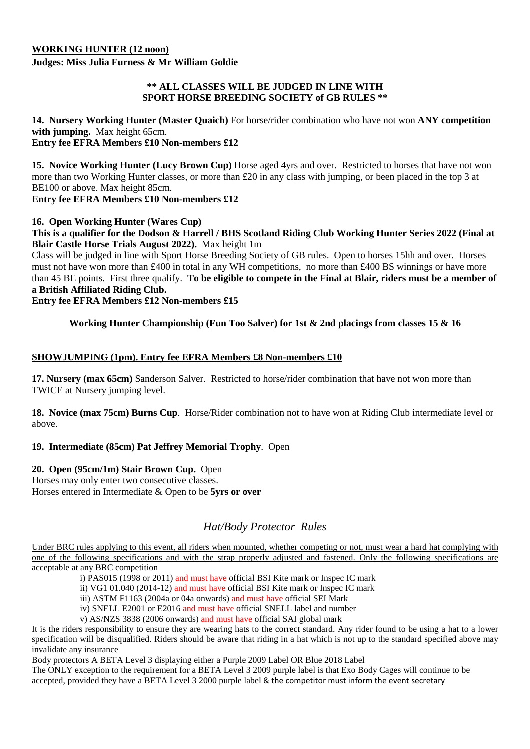### **WORKING HUNTER (12 noon)**

**Judges: Miss Julia Furness & Mr William Goldie**

#### **\*\* ALL CLASSES WILL BE JUDGED IN LINE WITH SPORT HORSE BREEDING SOCIETY of GB RULES \*\***

**14. Nursery Working Hunter (Master Quaich)** For horse/rider combination who have not won **ANY competition with jumping.** Max height 65cm. **Entry fee EFRA Members £10 Non-members £12**

**15. Novice Working Hunter (Lucy Brown Cup)** Horse aged 4yrs and over. Restricted to horses that have not won more than two Working Hunter classes, or more than £20 in any class with jumping, or been placed in the top 3 at BE100 or above. Max height 85cm.

#### **Entry fee EFRA Members £10 Non-members £12**

#### **16. Open Working Hunter (Wares Cup)**

This is a qualifier for the Dodson & Harrell / BHS Scotland Riding Club Working Hunter Series 2022 (Final at **Blair Castle Horse Trials August 2022).** Max height 1m

Class will be judged in line with Sport Horse Breeding Society of GB rules. Open to horses 15hh and over. Horses must not have won more than £400 in total in any WH competitions, no more than £400 BS winnings or have more than 45 BE points. First three qualify. To be eligible to compete in the Final at Blair, riders must be a member of **a British Affiliated Riding Club.**

## **Entry fee EFRA Members £12 Non-members £15**

## **Working Hunter Championship (Fun Too Salver) for 1st & 2nd placings from classes 15 & 16**

### **SHOWJUMPING (1pm). Entry fee EFRA Members £8 Non-members £10**

**17. Nursery (max 65cm)** Sanderson Salver. Restricted to horse/rider combination that have not won more than TWICE at Nursery jumping level.

**18. Novice (max 75cm) Burns Cup**. Horse/Rider combination not to have won at Riding Club intermediate level or above.

#### **19. Intermediate (85cm) Pat Jeffrey Memorial Trophy**. Open

#### **20. Open (95cm/1m) Stair Brown Cup.** Open

Horses may only enter two consecutive classes. Horses entered in Intermediate & Open to be **5yrs or over**

## *Hat/Body Protector Rules*

Under BRC rules applying to this event, all riders when mounted, whether competing or not, must wear a hard hat complying with one of the following specifications and with the strap properly adjusted and fastened. Only the following specifications are acceptable at any BRC competition

i) PAS015 (1998 or 2011) and must have official BSI Kite mark or Inspec IC mark

ii) VG1 01.040 (2014-12) and must have official BSI Kite mark or Inspec IC mark

iii) ASTM F1163 (2004a or 04a onwards) and must have official SEI Mark

iv) SNELL E2001 or E2016 and must have official SNELL label and number

v) AS/NZS 3838 (2006 onwards) and must have official SAI global mark

It is the riders responsibility to ensure they are wearing hats to the correct standard. Any rider found to be using a hat to a lower specification will be disqualified. Riders should be aware that riding in a hat which is not up to the standard specified above may invalidate any insurance

Body protectors A BETA Level 3 displaying either a Purple 2009 Label OR Blue 2018 Label

The ONLY exception to the requirement for a BETA Level 3 2009 purple label is that Exo Body Cages will continue to be accepted, provided they have a BETA Level 3 2000 purple label & the competitor must inform the event secretary